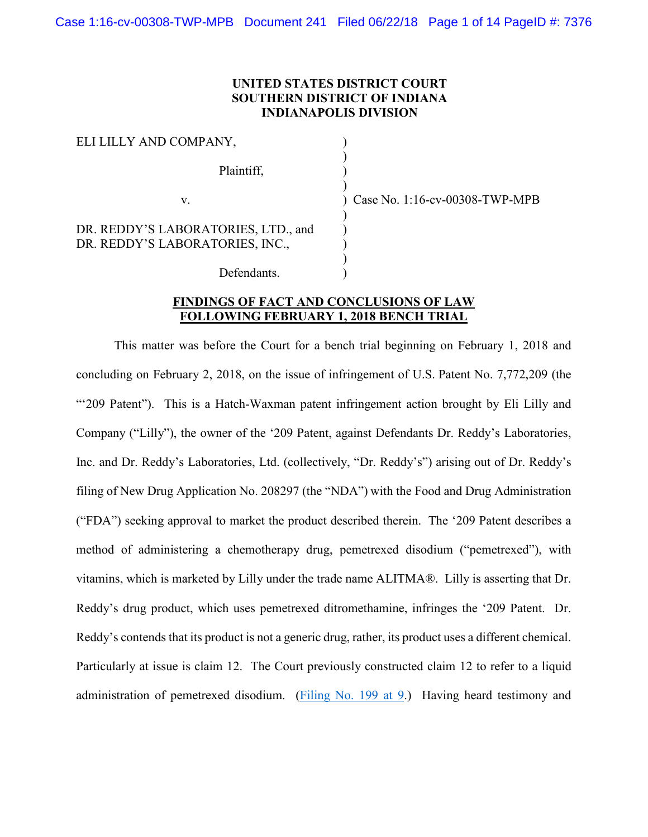# **UNITED STATES DISTRICT COURT SOUTHERN DISTRICT OF INDIANA INDIANAPOLIS DIVISION**

| ELI LILLY AND COMPANY,                                                 |  |
|------------------------------------------------------------------------|--|
| Plaintiff,                                                             |  |
| V                                                                      |  |
| DR. REDDY'S LABORATORIES, LTD., and<br>DR. REDDY'S LABORATORIES, INC., |  |
| Defendants.                                                            |  |

Case No. 1:16-cv-00308-TWP-MPB

# **FINDINGS OF FACT AND CONCLUSIONS OF LAW FOLLOWING FEBRUARY 1, 2018 BENCH TRIAL**

This matter was before the Court for a bench trial beginning on February 1, 2018 and concluding on February 2, 2018, on the issue of infringement of U.S. Patent No. 7,772,209 (the "'209 Patent"). This is a Hatch-Waxman patent infringement action brought by Eli Lilly and Company ("Lilly"), the owner of the '209 Patent, against Defendants Dr. Reddy's Laboratories, Inc. and Dr. Reddy's Laboratories, Ltd. (collectively, "Dr. Reddy's") arising out of Dr. Reddy's filing of New Drug Application No. 208297 (the "NDA") with the Food and Drug Administration ("FDA") seeking approval to market the product described therein. The '209 Patent describes a method of administering a chemotherapy drug, pemetrexed disodium ("pemetrexed"), with vitamins, which is marketed by Lilly under the trade name ALITMA®. Lilly is asserting that Dr. Reddy's drug product, which uses pemetrexed ditromethamine, infringes the '209 Patent. Dr. Reddy's contends that its product is not a generic drug, rather, its product uses a different chemical. Particularly at issue is claim 12. The Court previously constructed claim 12 to refer to a liquid administration of pemetrexed disodium. [\(Filing No. 199 at 9.](https://ecf.insd.uscourts.gov/doc1/07316323862?page=9)) Having heard testimony and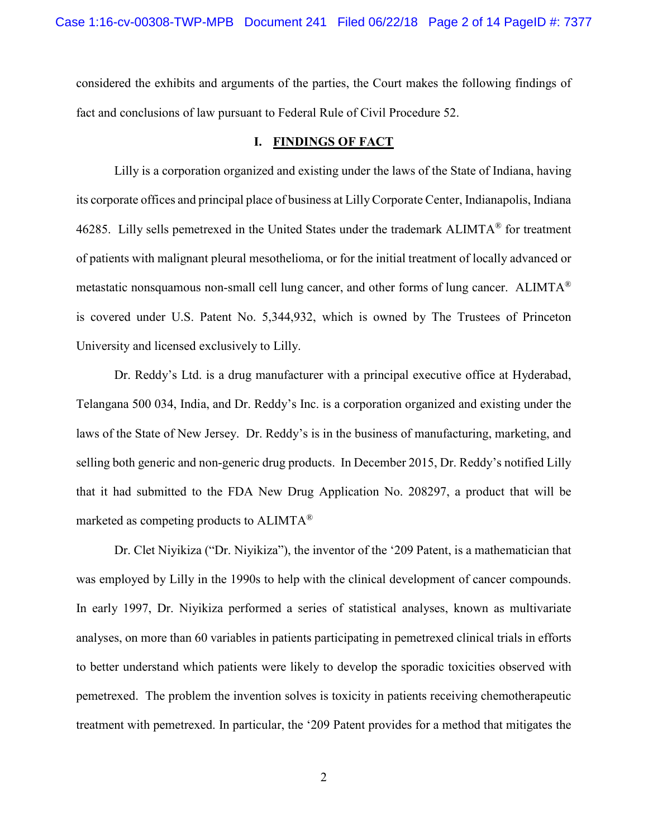considered the exhibits and arguments of the parties, the Court makes the following findings of fact and conclusions of law pursuant to Federal Rule of Civil Procedure 52.

## **I. FINDINGS OF FACT**

Lilly is a corporation organized and existing under the laws of the State of Indiana, having its corporate offices and principal place of business at Lilly Corporate Center, Indianapolis, Indiana 46285. Lilly sells pemetrexed in the United States under the trademark ALIMTA® for treatment of patients with malignant pleural mesothelioma, or for the initial treatment of locally advanced or metastatic nonsquamous non-small cell lung cancer, and other forms of lung cancer. ALIMTA® is covered under U.S. Patent No. 5,344,932, which is owned by The Trustees of Princeton University and licensed exclusively to Lilly.

Dr. Reddy's Ltd. is a drug manufacturer with a principal executive office at Hyderabad, Telangana 500 034, India, and Dr. Reddy's Inc. is a corporation organized and existing under the laws of the State of New Jersey. Dr. Reddy's is in the business of manufacturing, marketing, and selling both generic and non-generic drug products. In December 2015, Dr. Reddy's notified Lilly that it had submitted to the FDA New Drug Application No. 208297, a product that will be marketed as competing products to ALIMTA®

Dr. Clet Niyikiza ("Dr. Niyikiza"), the inventor of the '209 Patent, is a mathematician that was employed by Lilly in the 1990s to help with the clinical development of cancer compounds. In early 1997, Dr. Niyikiza performed a series of statistical analyses, known as multivariate analyses, on more than 60 variables in patients participating in pemetrexed clinical trials in efforts to better understand which patients were likely to develop the sporadic toxicities observed with pemetrexed. The problem the invention solves is toxicity in patients receiving chemotherapeutic treatment with pemetrexed. In particular, the '209 Patent provides for a method that mitigates the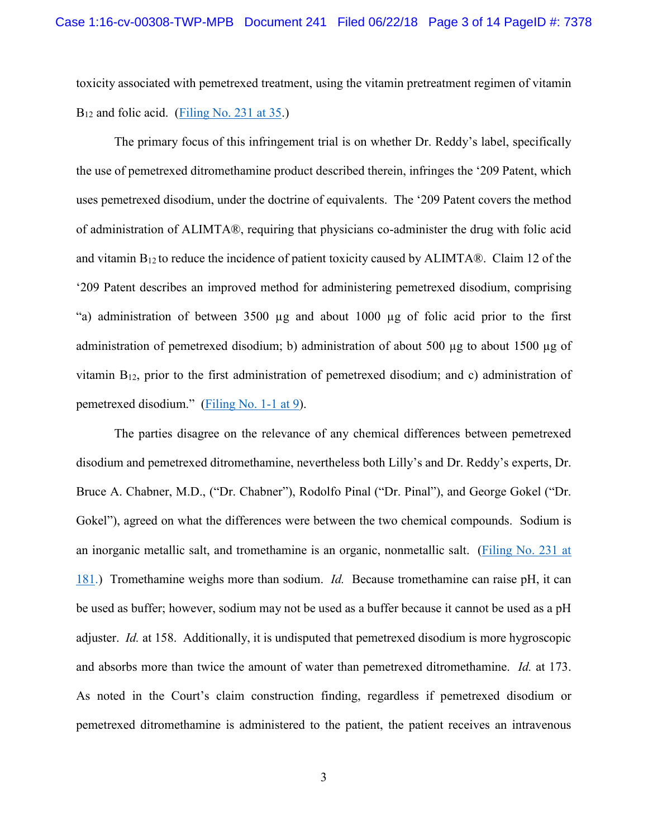toxicity associated with pemetrexed treatment, using the vitamin pretreatment regimen of vitamin  $B_{12}$  and folic acid. [\(Filing No. 231 at 35.](https://ecf.insd.uscourts.gov/doc1/07316418407?page=181))

The primary focus of this infringement trial is on whether Dr. Reddy's label, specifically the use of pemetrexed ditromethamine product described therein, infringes the '209 Patent, which uses pemetrexed disodium, under the doctrine of equivalents. The '209 Patent covers the method of administration of ALIMTA®, requiring that physicians co-administer the drug with folic acid and vitamin  $B_{12}$  to reduce the incidence of patient toxicity caused by ALIMTA®. Claim 12 of the '209 Patent describes an improved method for administering pemetrexed disodium, comprising "a) administration of between 3500 µg and about 1000 µg of folic acid prior to the first administration of pemetrexed disodium; b) administration of about 500 µg to about 1500 µg of vitamin B12, prior to the first administration of pemetrexed disodium; and c) administration of pemetrexed disodium." [\(Filing No. 1-1 at 9\)](https://ecf.insd.uscourts.gov/doc1/07315206129?page=9).

The parties disagree on the relevance of any chemical differences between pemetrexed disodium and pemetrexed ditromethamine, nevertheless both Lilly's and Dr. Reddy's experts, Dr. Bruce A. Chabner, M.D., ("Dr. Chabner"), Rodolfo Pinal ("Dr. Pinal"), and George Gokel ("Dr. Gokel"), agreed on what the differences were between the two chemical compounds. Sodium is an inorganic metallic salt, and tromethamine is an organic, nonmetallic salt. [\(Filing No. 231 at](https://ecf.insd.uscourts.gov/doc1/07316418407?page=181)  [181.](https://ecf.insd.uscourts.gov/doc1/07316418407?page=181)) Tromethamine weighs more than sodium. *Id.* Because tromethamine can raise pH, it can be used as buffer; however, sodium may not be used as a buffer because it cannot be used as a pH adjuster. *Id.* at 158. Additionally, it is undisputed that pemetrexed disodium is more hygroscopic and absorbs more than twice the amount of water than pemetrexed ditromethamine. *Id.* at 173. As noted in the Court's claim construction finding, regardless if pemetrexed disodium or pemetrexed ditromethamine is administered to the patient, the patient receives an intravenous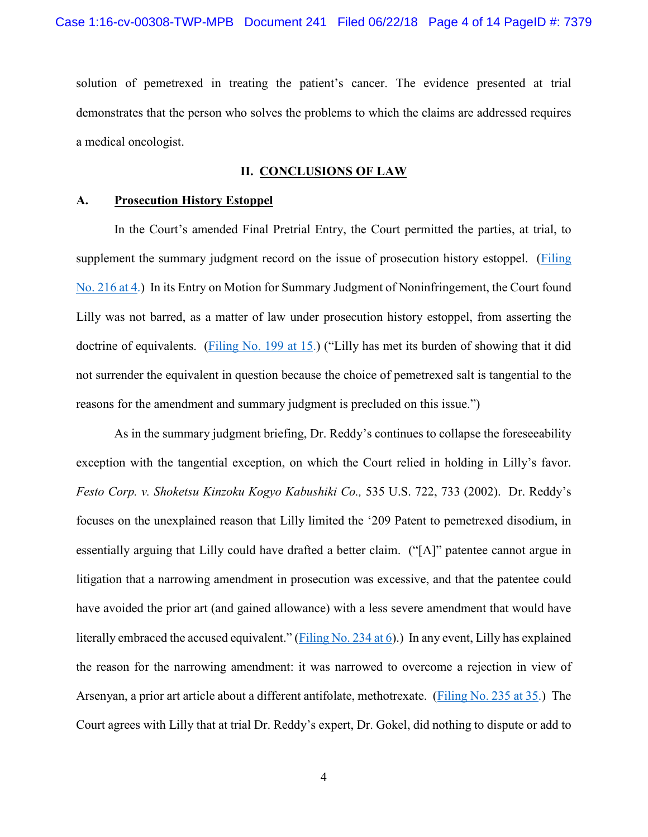solution of pemetrexed in treating the patient's cancer. The evidence presented at trial demonstrates that the person who solves the problems to which the claims are addressed requires a medical oncologist.

## **II. CONCLUSIONS OF LAW**

## **A. Prosecution History Estoppel**

In the Court's amended Final Pretrial Entry, the Court permitted the parties, at trial, to supplement the summary judgment record on the issue of prosecution history estoppel. [\(Filing](https://ecf.insd.uscourts.gov/doc1/07316366417?page=4)  [No. 216 at 4.](https://ecf.insd.uscourts.gov/doc1/07316366417?page=4)) In its Entry on Motion for Summary Judgment of Noninfringement, the Court found Lilly was not barred, as a matter of law under prosecution history estoppel, from asserting the doctrine of equivalents. [\(Filing No. 199 at 15.](https://ecf.insd.uscourts.gov/doc1/07316323862?page=15)) ("Lilly has met its burden of showing that it did not surrender the equivalent in question because the choice of pemetrexed salt is tangential to the reasons for the amendment and summary judgment is precluded on this issue.")

As in the summary judgment briefing, Dr. Reddy's continues to collapse the foreseeability exception with the tangential exception, on which the Court relied in holding in Lilly's favor. *Festo Corp. v. Shoketsu Kinzoku Kogyo Kabushiki Co.,* 535 U.S. 722, 733 (2002). Dr. Reddy's focuses on the unexplained reason that Lilly limited the '209 Patent to pemetrexed disodium, in essentially arguing that Lilly could have drafted a better claim. ("[A]" patentee cannot argue in litigation that a narrowing amendment in prosecution was excessive, and that the patentee could have avoided the prior art (and gained allowance) with a less severe amendment that would have literally embraced the accused equivalent." [\(Filing No. 234 at 6\)](https://ecf.insd.uscourts.gov/doc1/07316444127?page=6).) In any event, Lilly has explained the reason for the narrowing amendment: it was narrowed to overcome a rejection in view of Arsenyan, a prior art article about a different antifolate, methotrexate. [\(Filing No. 235 at 35.](https://ecf.insd.uscourts.gov/doc1/07316444134?page=35)) The Court agrees with Lilly that at trial Dr. Reddy's expert, Dr. Gokel, did nothing to dispute or add to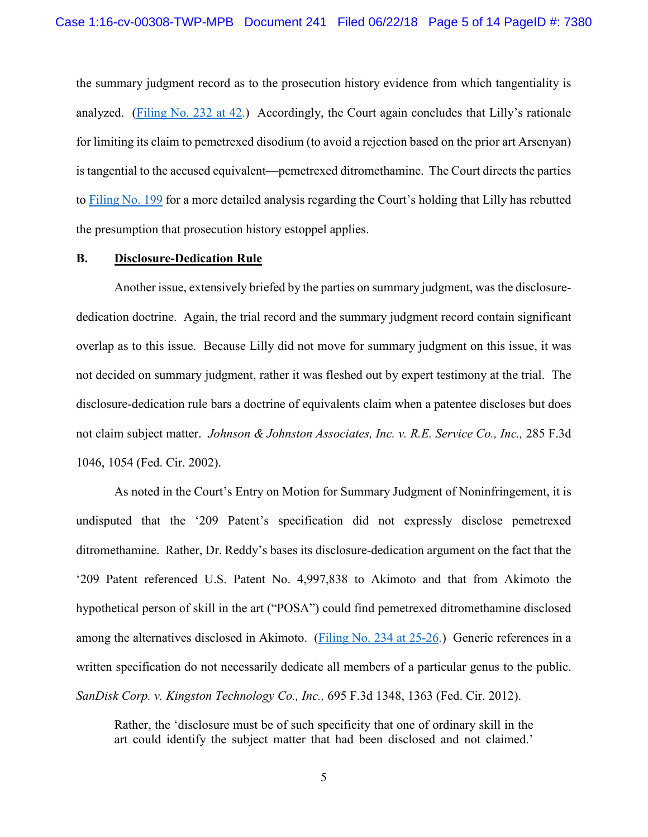the summary judgment record as to the prosecution history evidence from which tangentiality is analyzed. [\(Filing No. 232 at 42.](https://ecf.insd.uscourts.gov/doc1/07316418413?page=42)) Accordingly, the Court again concludes that Lilly's rationale for limiting its claim to pemetrexed disodium (to avoid a rejection based on the prior art Arsenyan) is tangential to the accused equivalent—pemetrexed ditromethamine. The Court directs the parties to [Filing No. 199](https://ecf.insd.uscourts.gov/doc1/07316323862) for a more detailed analysis regarding the Court's holding that Lilly has rebutted the presumption that prosecution history estoppel applies.

# **B. Disclosure-Dedication Rule**

Another issue, extensively briefed by the parties on summary judgment, was the disclosurededication doctrine. Again, the trial record and the summary judgment record contain significant overlap as to this issue. Because Lilly did not move for summary judgment on this issue, it was not decided on summary judgment, rather it was fleshed out by expert testimony at the trial. The disclosure-dedication rule bars a doctrine of equivalents claim when a patentee discloses but does not claim subject matter. *Johnson & Johnston Associates, Inc. v. R.E. Service Co., Inc.,* 285 F.3d 1046, 1054 (Fed. Cir. 2002).

As noted in the Court's Entry on Motion for Summary Judgment of Noninfringement, it is undisputed that the '209 Patent's specification did not expressly disclose pemetrexed ditromethamine. Rather, Dr. Reddy's bases its disclosure-dedication argument on the fact that the '209 Patent referenced U.S. Patent No. 4,997,838 to Akimoto and that from Akimoto the hypothetical person of skill in the art ("POSA") could find pemetrexed ditromethamine disclosed among the alternatives disclosed in Akimoto. [\(Filing No. 234 at 25-26.](https://ecf.insd.uscourts.gov/doc1/07316444127?page=25)) Generic references in a written specification do not necessarily dedicate all members of a particular genus to the public. *SanDisk Corp. v. Kingston Technology Co., Inc.,* 695 F.3d 1348, 1363 (Fed. Cir. 2012).

Rather, the 'disclosure must be of such specificity that one of ordinary skill in the art could identify the subject matter that had been disclosed and not claimed.'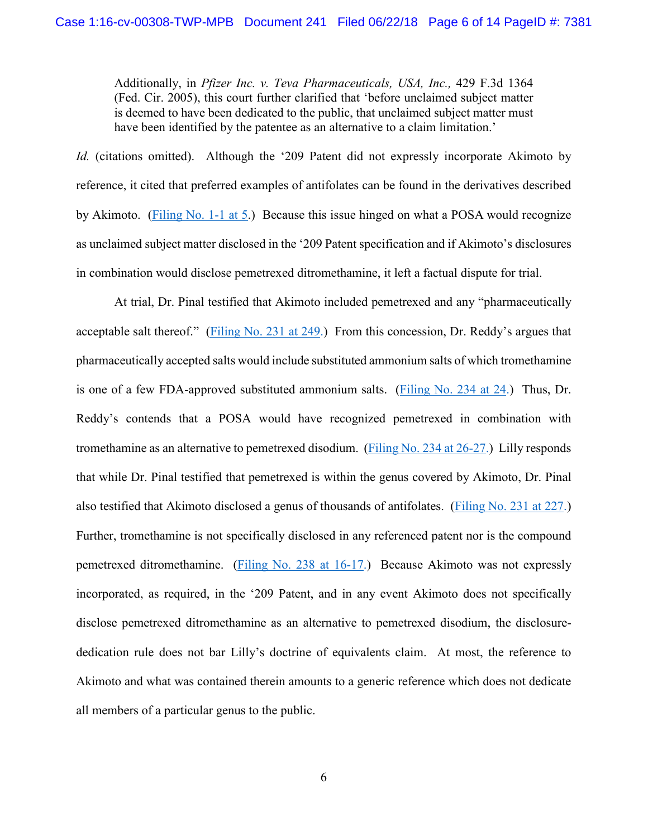Additionally, in *Pfizer Inc. v. Teva Pharmaceuticals, USA, Inc.,* 429 F.3d 1364 (Fed. Cir. 2005), this court further clarified that 'before unclaimed subject matter is deemed to have been dedicated to the public, that unclaimed subject matter must have been identified by the patentee as an alternative to a claim limitation.'

*Id.* (citations omitted).Although the '209 Patent did not expressly incorporate Akimoto by reference, it cited that preferred examples of antifolates can be found in the derivatives described by Akimoto. [\(Filing No. 1-1 at 5.](https://ecf.insd.uscourts.gov/doc1/07315206129?page=5)) Because this issue hinged on what a POSA would recognize as unclaimed subject matter disclosed in the '209 Patent specification and if Akimoto's disclosures in combination would disclose pemetrexed ditromethamine, it left a factual dispute for trial.

At trial, Dr. Pinal testified that Akimoto included pemetrexed and any "pharmaceutically acceptable salt thereof." [\(Filing No. 231 at 249.](https://ecf.insd.uscourts.gov/doc1/07316418407?page=249)) From this concession, Dr. Reddy's argues that pharmaceutically accepted salts would include substituted ammonium salts of which tromethamine is one of a few FDA-approved substituted ammonium salts. [\(Filing No. 234 at 24.](https://ecf.insd.uscourts.gov/doc1/07316444127?page=24)) Thus, Dr. Reddy's contends that a POSA would have recognized pemetrexed in combination with tromethamine as an alternative to pemetrexed disodium. [\(Filing No. 234 at 26-27.](https://ecf.insd.uscourts.gov/doc1/07316444127?page=26)) Lilly responds that while Dr. Pinal testified that pemetrexed is within the genus covered by Akimoto, Dr. Pinal also testified that Akimoto disclosed a genus of thousands of antifolates. [\(Filing No. 231 at 227.](https://ecf.insd.uscourts.gov/doc1/07316418407?page=227)) Further, tromethamine is not specifically disclosed in any referenced patent nor is the compound pemetrexed ditromethamine. [\(Filing No. 238 at 16-17.](https://ecf.insd.uscourts.gov/doc1/07316486320?page=16)) Because Akimoto was not expressly incorporated, as required, in the '209 Patent, and in any event Akimoto does not specifically disclose pemetrexed ditromethamine as an alternative to pemetrexed disodium, the disclosurededication rule does not bar Lilly's doctrine of equivalents claim. At most, the reference to Akimoto and what was contained therein amounts to a generic reference which does not dedicate all members of a particular genus to the public.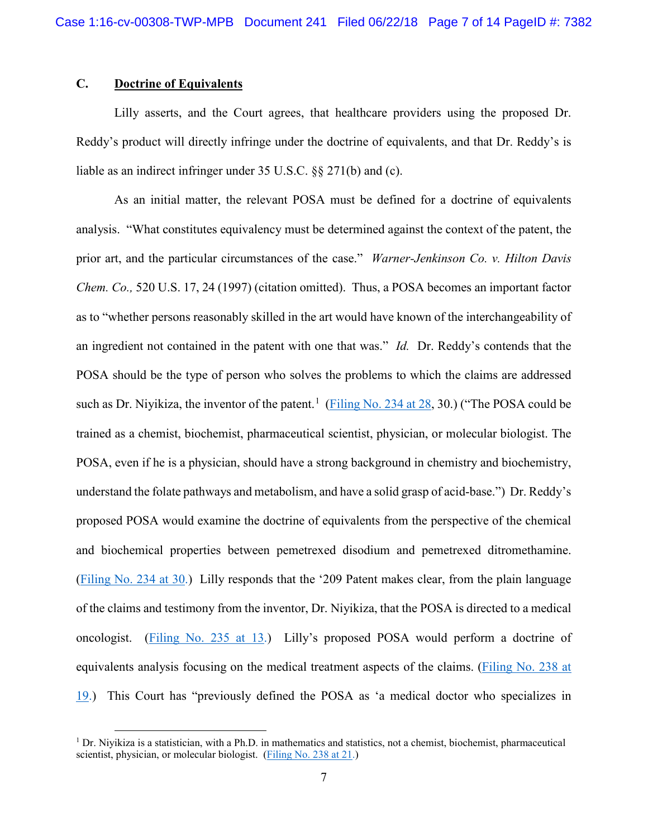# **C. Doctrine of Equivalents**

l

Lilly asserts, and the Court agrees, that healthcare providers using the proposed Dr. Reddy's product will directly infringe under the doctrine of equivalents, and that Dr. Reddy's is liable as an indirect infringer under 35 U.S.C. §§ 271(b) and (c).

As an initial matter, the relevant POSA must be defined for a doctrine of equivalents analysis. "What constitutes equivalency must be determined against the context of the patent, the prior art, and the particular circumstances of the case." *Warner-Jenkinson Co. v. Hilton Davis Chem. Co.,* 520 U.S. 17, 24 (1997) (citation omitted). Thus, a POSA becomes an important factor as to "whether persons reasonably skilled in the art would have known of the interchangeability of an ingredient not contained in the patent with one that was." *Id.* Dr. Reddy's contends that the POSA should be the type of person who solves the problems to which the claims are addressed such as Dr. Niyikiza, the inventor of the patent.<sup>[1](#page-6-0)</sup> [\(Filing No.](https://ecf.insd.uscourts.gov/doc1/07316444127?page=28) 234 at 28, 30.) ("The POSA could be trained as a chemist, biochemist, pharmaceutical scientist, physician, or molecular biologist. The POSA, even if he is a physician, should have a strong background in chemistry and biochemistry, understand the folate pathways and metabolism, and have a solid grasp of acid-base.") Dr. Reddy's proposed POSA would examine the doctrine of equivalents from the perspective of the chemical and biochemical properties between pemetrexed disodium and pemetrexed ditromethamine. [\(Filing No. 234 at 30.](https://ecf.insd.uscourts.gov/doc1/07316444127?page=30)) Lilly responds that the '209 Patent makes clear, from the plain language of the claims and testimony from the inventor, Dr. Niyikiza, that the POSA is directed to a medical oncologist. [\(Filing No. 235 at 13.](https://ecf.insd.uscourts.gov/doc1/07316444134?page=13)) Lilly's proposed POSA would perform a doctrine of equivalents analysis focusing on the medical treatment aspects of the claims. [\(Filing No. 238 at](https://ecf.insd.uscourts.gov/doc1/07316486320?page=19)  [19.](https://ecf.insd.uscourts.gov/doc1/07316486320?page=19)) This Court has "previously defined the POSA as 'a medical doctor who specializes in

<span id="page-6-0"></span> $1$  Dr. Nivikiza is a statistician, with a Ph.D. in mathematics and statistics, not a chemist, biochemist, pharmaceutical scientist, physician, or molecular biologist. [\(Filing No. 238 at 21.](https://ecf.insd.uscourts.gov/doc1/07316486320?page=21))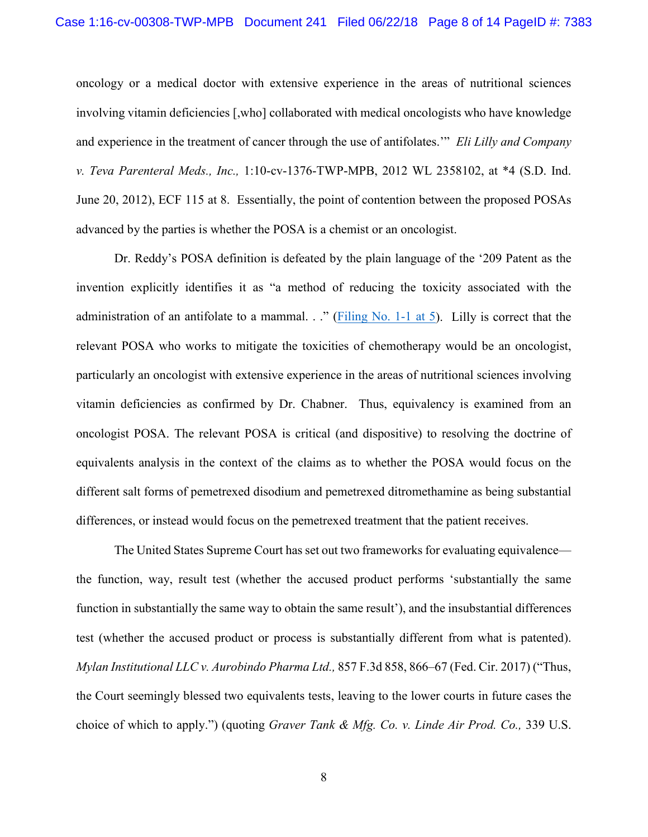oncology or a medical doctor with extensive experience in the areas of nutritional sciences involving vitamin deficiencies [,who] collaborated with medical oncologists who have knowledge and experience in the treatment of cancer through the use of antifolates.'" *Eli Lilly and Company v. Teva Parenteral Meds., Inc.,* 1:10-cv-1376-TWP-MPB, 2012 WL 2358102, at \*4 (S.D. Ind. June 20, 2012), ECF 115 at 8. Essentially, the point of contention between the proposed POSAs advanced by the parties is whether the POSA is a chemist or an oncologist.

Dr. Reddy's POSA definition is defeated by the plain language of the '209 Patent as the invention explicitly identifies it as "a method of reducing the toxicity associated with the administration of an antifolate to a mammal. . ." [\(Filing No. 1-1 at 5\)](https://ecf.insd.uscourts.gov/doc1/07315206129?page=5). Lilly is correct that the relevant POSA who works to mitigate the toxicities of chemotherapy would be an oncologist, particularly an oncologist with extensive experience in the areas of nutritional sciences involving vitamin deficiencies as confirmed by Dr. Chabner. Thus, equivalency is examined from an oncologist POSA. The relevant POSA is critical (and dispositive) to resolving the doctrine of equivalents analysis in the context of the claims as to whether the POSA would focus on the different salt forms of pemetrexed disodium and pemetrexed ditromethamine as being substantial differences, or instead would focus on the pemetrexed treatment that the patient receives.

The United States Supreme Court has set out two frameworks for evaluating equivalence the function, way, result test (whether the accused product performs 'substantially the same function in substantially the same way to obtain the same result'), and the insubstantial differences test (whether the accused product or process is substantially different from what is patented). *Mylan Institutional LLC v. Aurobindo Pharma Ltd.,* 857 F.3d 858, 866–67 (Fed. Cir. 2017) ("Thus, the Court seemingly blessed two equivalents tests, leaving to the lower courts in future cases the choice of which to apply.") (quoting *Graver Tank & Mfg. Co. v. Linde Air Prod. Co.,* 339 U.S.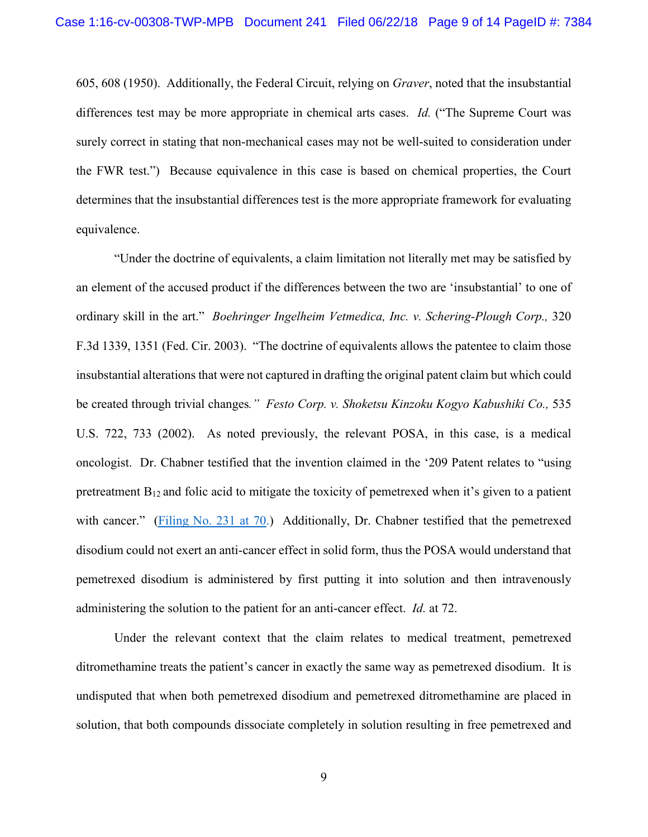605, 608 (1950). Additionally, the Federal Circuit, relying on *Graver*, noted that the insubstantial differences test may be more appropriate in chemical arts cases. *Id.* ("The Supreme Court was surely correct in stating that non-mechanical cases may not be well-suited to consideration under the FWR test.") Because equivalence in this case is based on chemical properties, the Court determines that the insubstantial differences test is the more appropriate framework for evaluating equivalence.

"Under the doctrine of equivalents, a claim limitation not literally met may be satisfied by an element of the accused product if the differences between the two are 'insubstantial' to one of ordinary skill in the art." *Boehringer Ingelheim Vetmedica, Inc. v. Schering-Plough Corp.,* 320 F.3d 1339, 1351 (Fed. Cir. 2003). "The doctrine of equivalents allows the patentee to claim those insubstantial alterations that were not captured in drafting the original patent claim but which could be created through trivial changes*." Festo Corp. v. Shoketsu Kinzoku Kogyo Kabushiki Co.,* 535 U.S. 722, 733 (2002). As noted previously, the relevant POSA, in this case, is a medical oncologist. Dr. Chabner testified that the invention claimed in the '209 Patent relates to "using pretreatment  $B_{12}$  and folic acid to mitigate the toxicity of pemetrexed when it's given to a patient with cancer." [\(Filing No. 231 at 70.](https://ecf.insd.uscourts.gov/doc1/07316418407?page=70)) Additionally, Dr. Chabner testified that the pemetrexed disodium could not exert an anti-cancer effect in solid form, thus the POSA would understand that pemetrexed disodium is administered by first putting it into solution and then intravenously administering the solution to the patient for an anti-cancer effect. *Id.* at 72.

Under the relevant context that the claim relates to medical treatment, pemetrexed ditromethamine treats the patient's cancer in exactly the same way as pemetrexed disodium. It is undisputed that when both pemetrexed disodium and pemetrexed ditromethamine are placed in solution, that both compounds dissociate completely in solution resulting in free pemetrexed and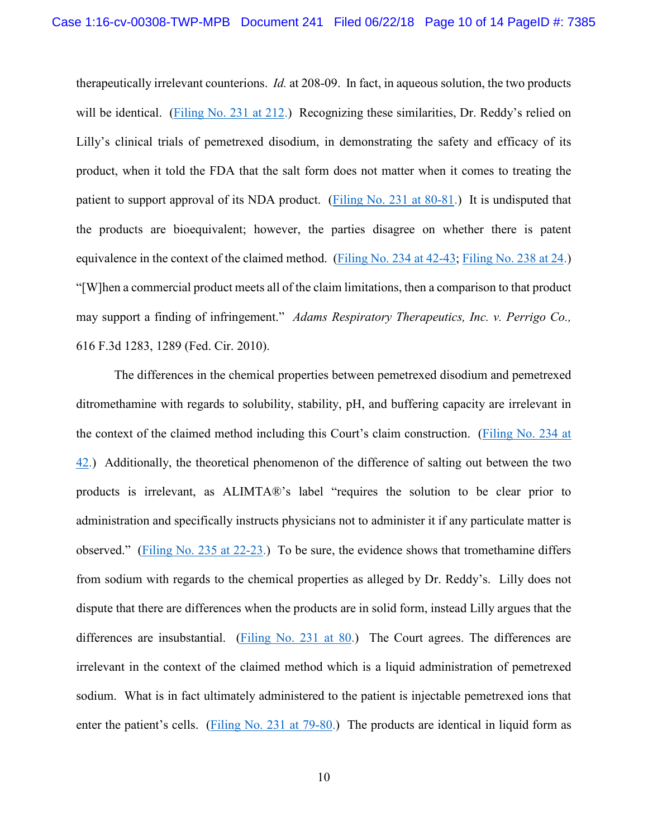therapeutically irrelevant counterions. *Id.* at 208-09. In fact, in aqueous solution, the two products will be identical. [\(Filing No. 231 at 212.](https://ecf.insd.uscourts.gov/doc1/07316418407?page=212)) Recognizing these similarities, Dr. Reddy's relied on Lilly's clinical trials of pemetrexed disodium, in demonstrating the safety and efficacy of its product, when it told the FDA that the salt form does not matter when it comes to treating the patient to support approval of its NDA product. [\(Filing No. 231 at 80-81.](https://ecf.insd.uscourts.gov/doc1/07316418407?page=80)) It is undisputed that the products are bioequivalent; however, the parties disagree on whether there is patent equivalence in the context of the claimed method. [\(Filing No. 234 at 42-43;](https://ecf.insd.uscourts.gov/doc1/07316444127?page=42) [Filing No. 238 at 24.](https://ecf.insd.uscourts.gov/doc1/07316486320?page=24)) "[W]hen a commercial product meets all of the claim limitations, then a comparison to that product may support a finding of infringement." *Adams Respiratory Therapeutics, Inc. v. Perrigo Co.,* 616 F.3d 1283, 1289 (Fed. Cir. 2010).

The differences in the chemical properties between pemetrexed disodium and pemetrexed ditromethamine with regards to solubility, stability, pH, and buffering capacity are irrelevant in the context of the claimed method including this Court's claim construction. [\(Filing No. 234 at](https://ecf.insd.uscourts.gov/doc1/07316444127?page=42)  [42.](https://ecf.insd.uscourts.gov/doc1/07316444127?page=42)) Additionally, the theoretical phenomenon of the difference of salting out between the two products is irrelevant, as ALIMTA®'s label "requires the solution to be clear prior to administration and specifically instructs physicians not to administer it if any particulate matter is observed." (Filing [No. 235 at 22-23.](https://ecf.insd.uscourts.gov/doc1/07316444134?page=22)) To be sure, the evidence shows that tromethamine differs from sodium with regards to the chemical properties as alleged by Dr. Reddy's. Lilly does not dispute that there are differences when the products are in solid form, instead Lilly argues that the differences are insubstantial. [\(Filing No. 231 at 80.](https://ecf.insd.uscourts.gov/doc1/07316418407?page=80)) The Court agrees. The differences are irrelevant in the context of the claimed method which is a liquid administration of pemetrexed sodium. What is in fact ultimately administered to the patient is injectable pemetrexed ions that enter the patient's cells. [\(Filing No. 231 at 79-80.](https://ecf.insd.uscourts.gov/doc1/07316418407?page=79)) The products are identical in liquid form as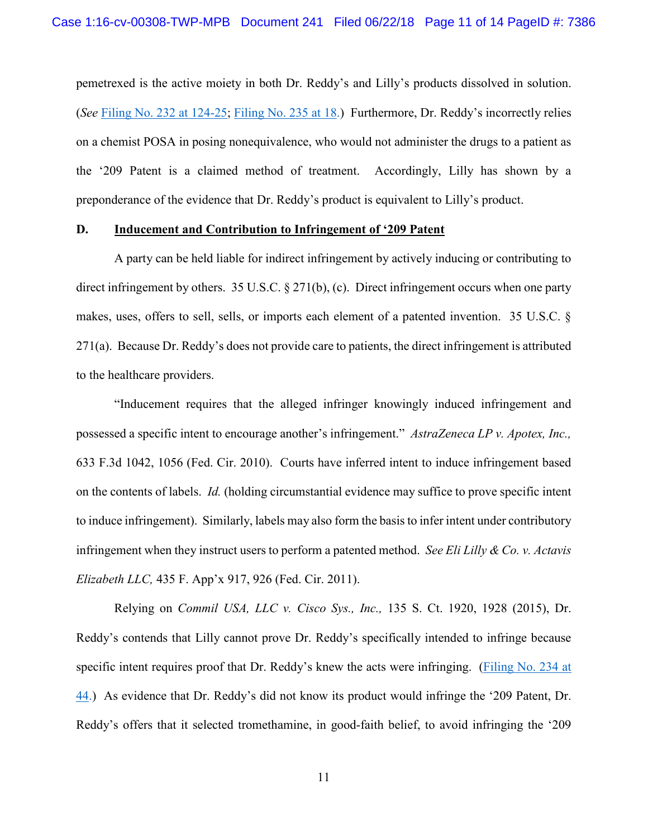pemetrexed is the active moiety in both Dr. Reddy's and Lilly's products dissolved in solution. (*See* [Filing No. 232 at 124-25;](https://ecf.insd.uscourts.gov/doc1/07316418413?page=124) [Filing No. 235 at 18.](https://ecf.insd.uscourts.gov/doc1/07316444134?page=18)) Furthermore, Dr. Reddy's incorrectly relies on a chemist POSA in posing nonequivalence, who would not administer the drugs to a patient as the '209 Patent is a claimed method of treatment. Accordingly, Lilly has shown by a preponderance of the evidence that Dr. Reddy's product is equivalent to Lilly's product.

### **D. Inducement and Contribution to Infringement of '209 Patent**

A party can be held liable for indirect infringement by actively inducing or contributing to direct infringement by others. 35 U.S.C. § 271(b), (c). Direct infringement occurs when one party makes, uses, offers to sell, sells, or imports each element of a patented invention. 35 U.S.C. § 271(a). Because Dr. Reddy's does not provide care to patients, the direct infringement is attributed to the healthcare providers.

"Inducement requires that the alleged infringer knowingly induced infringement and possessed a specific intent to encourage another's infringement." *AstraZeneca LP v. Apotex, Inc.,*  633 F.3d 1042, 1056 (Fed. Cir. 2010). Courts have inferred intent to induce infringement based on the contents of labels. *Id.* (holding circumstantial evidence may suffice to prove specific intent to induce infringement). Similarly, labels may also form the basis to infer intent under contributory infringement when they instruct users to perform a patented method. *See Eli Lilly & Co. v. Actavis Elizabeth LLC,* 435 F. App'x 917, 926 (Fed. Cir. 2011).

Relying on *Commil USA, LLC v. Cisco Sys., Inc.,* 135 S. Ct. 1920, 1928 (2015), Dr. Reddy's contends that Lilly cannot prove Dr. Reddy's specifically intended to infringe because specific intent requires proof that Dr. Reddy's knew the acts were infringing. [\(Filing No. 234 at](https://ecf.insd.uscourts.gov/doc1/07316444127?page=44)  [44.](https://ecf.insd.uscourts.gov/doc1/07316444127?page=44)) As evidence that Dr. Reddy's did not know its product would infringe the '209 Patent, Dr. Reddy's offers that it selected tromethamine, in good-faith belief, to avoid infringing the '209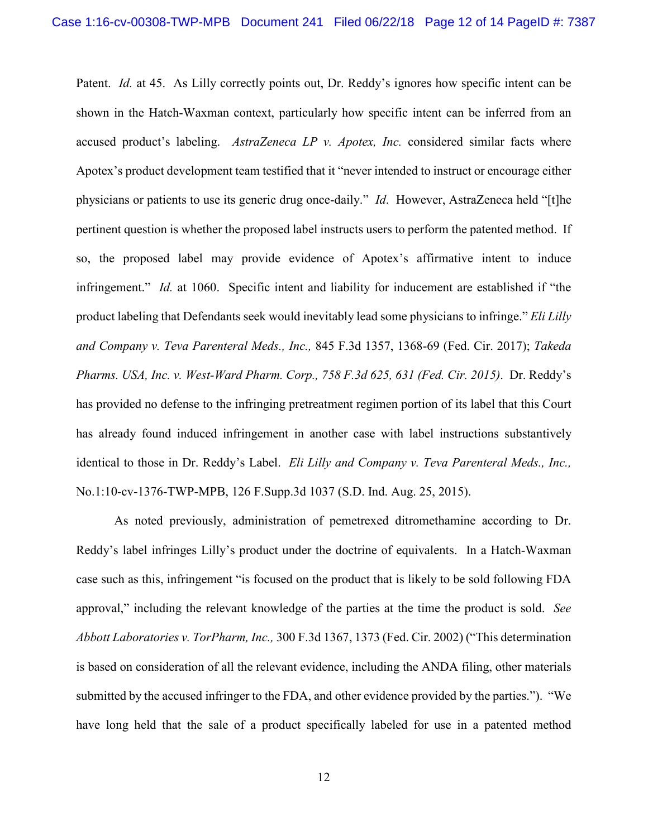Patent. *Id.* at 45. As Lilly correctly points out, Dr. Reddy's ignores how specific intent can be shown in the Hatch-Waxman context, particularly how specific intent can be inferred from an accused product's labeling. *AstraZeneca LP v. Apotex, Inc.* considered similar facts where Apotex's product development team testified that it "never intended to instruct or encourage either physicians or patients to use its generic drug once-daily." *Id*. However, AstraZeneca held "[t]he pertinent question is whether the proposed label instructs users to perform the patented method. If so, the proposed label may provide evidence of Apotex's affirmative intent to induce infringement." *Id.* at 1060. Specific intent and liability for inducement are established if "the product labeling that Defendants seek would inevitably lead some physicians to infringe." *Eli Lilly and Company v. Teva Parenteral Meds., Inc.,* 845 F.3d 1357, 1368-69 (Fed. Cir. 2017); *Takeda Pharms. USA, Inc. v. West-Ward Pharm. Corp., 758 F.3d 625, 631 (Fed. Cir. 2015)*. Dr. Reddy's has provided no defense to the infringing pretreatment regimen portion of its label that this Court has already found induced infringement in another case with label instructions substantively identical to those in Dr. Reddy's Label. *Eli Lilly and Company v. Teva Parenteral Meds., Inc.,* No.1:10-cv-1376-TWP-MPB, 126 F.Supp.3d 1037 (S.D. Ind. Aug. 25, 2015).

As noted previously, administration of pemetrexed ditromethamine according to Dr. Reddy's label infringes Lilly's product under the doctrine of equivalents. In a Hatch-Waxman case such as this, infringement "is focused on the product that is likely to be sold following FDA approval," including the relevant knowledge of the parties at the time the product is sold. *See Abbott Laboratories v. TorPharm, Inc.,* 300 F.3d 1367, 1373 (Fed. Cir. 2002) ("This determination is based on consideration of all the relevant evidence, including the ANDA filing, other materials submitted by the accused infringer to the FDA, and other evidence provided by the parties."). "We have long held that the sale of a product specifically labeled for use in a patented method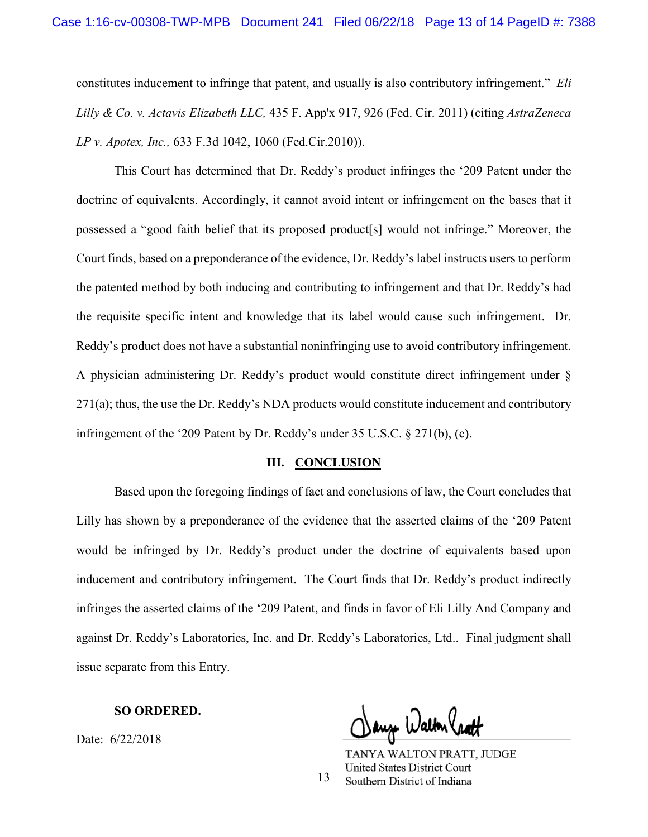constitutes inducement to infringe that patent, and usually is also contributory infringement." *Eli Lilly & Co. v. Actavis Elizabeth LLC,* 435 F. App'x 917, 926 (Fed. Cir. 2011) (citing *AstraZeneca LP v. Apotex, Inc.,* 633 F.3d 1042, 1060 (Fed.Cir.2010)).

This Court has determined that Dr. Reddy's product infringes the '209 Patent under the doctrine of equivalents. Accordingly, it cannot avoid intent or infringement on the bases that it possessed a "good faith belief that its proposed product[s] would not infringe." Moreover, the Court finds, based on a preponderance of the evidence, Dr. Reddy's label instructs users to perform the patented method by both inducing and contributing to infringement and that Dr. Reddy's had the requisite specific intent and knowledge that its label would cause such infringement. Dr. Reddy's product does not have a substantial noninfringing use to avoid contributory infringement. A physician administering Dr. Reddy's product would constitute direct infringement under § 271(a); thus, the use the Dr. Reddy's NDA products would constitute inducement and contributory infringement of the '209 Patent by Dr. Reddy's under 35 U.S.C. § 271(b), (c).

### **III. CONCLUSION**

Based upon the foregoing findings of fact and conclusions of law, the Court concludes that Lilly has shown by a preponderance of the evidence that the asserted claims of the '209 Patent would be infringed by Dr. Reddy's product under the doctrine of equivalents based upon inducement and contributory infringement. The Court finds that Dr. Reddy's product indirectly infringes the asserted claims of the '209 Patent, and finds in favor of Eli Lilly And Company and against Dr. Reddy's Laboratories, Inc. and Dr. Reddy's Laboratories, Ltd.. Final judgment shall issue separate from this Entry.

### **SO ORDERED.**

Date: 6/22/2018

auz Walton (pa

TANYA WALTON PRATT, JUDGE **United States District Court** Southern District of Indiana